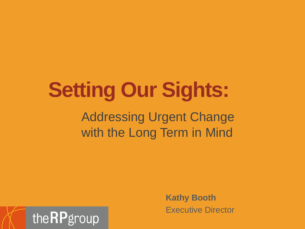# **Setting Our Sights:**

#### Addressing Urgent Change with the Long Term in Mind



**Kathy Booth** Executive Director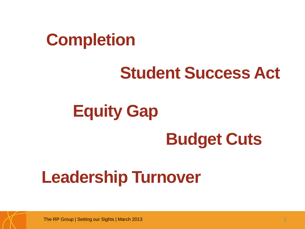# **Completion**

# **Student Success Act**

# **Equity Gap Budget Cuts**

# **Leadership Turnover**

The RP Group | Setting our Sights | March 2013 2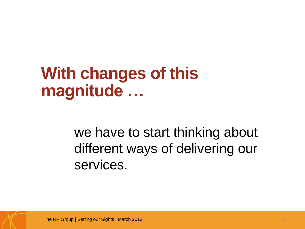### **With changes of this magnitude …**

we have to start thinking about different ways of delivering our services.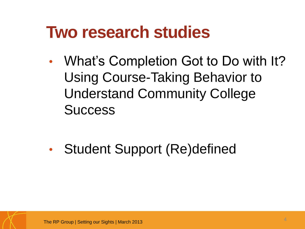### **Two research studies**

• What's Completion Got to Do with It? Using Course-Taking Behavior to Understand Community College **Success** 

• Student Support (Re)defined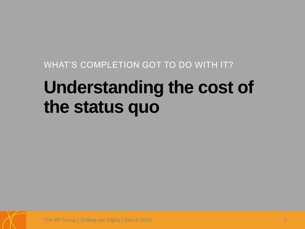WHAT'S COMPLETION GOT TO DO WITH IT?

# **Understanding the cost of the status quo**

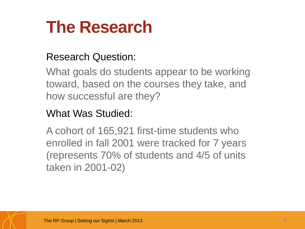# **The Research**

#### Research Question:

What goals do students appear to be working toward, based on the courses they take, and how successful are they?

#### What Was Studied:

A cohort of 165,921 first-time students who enrolled in fall 2001 were tracked for 7 years (represents 70% of students and 4/5 of units taken in 2001-02)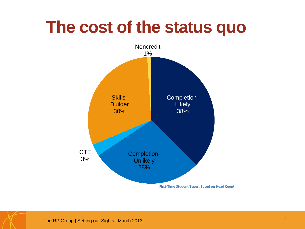## **The cost of the status quo**

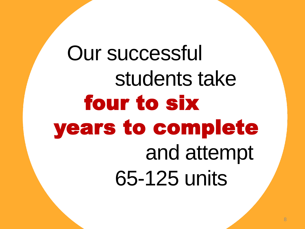Our successful students take four to six years to complete and attempt 65-125 units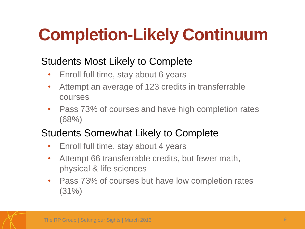# **Completion-Likely Continuum**

#### Students Most Likely to Complete

- Enroll full time, stay about 6 years
- Attempt an average of 123 credits in transferrable courses
- Pass 73% of courses and have high completion rates (68%)

#### Students Somewhat Likely to Complete

- Enroll full time, stay about 4 years
- Attempt 66 transferrable credits, but fewer math, physical & life sciences
- Pass 73% of courses but have low completion rates  $(31\%)$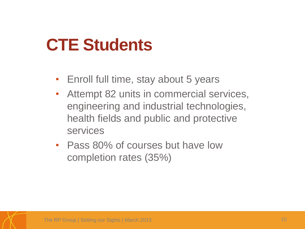## **CTE Students**

- Enroll full time, stay about 5 years
- Attempt 82 units in commercial services, engineering and industrial technologies, health fields and public and protective services
- Pass 80% of courses but have low completion rates (35%)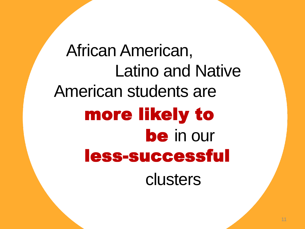African American, Latino and Native American students are more likely to be in our less-successful clusters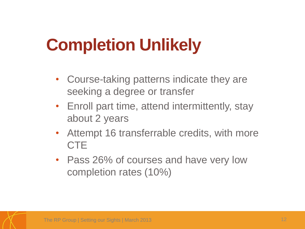# **Completion Unlikely**

- Course-taking patterns indicate they are seeking a degree or transfer
- Enroll part time, attend intermittently, stay about 2 years
- Attempt 16 transferrable credits, with more **CTE**
- Pass 26% of courses and have very low completion rates (10%)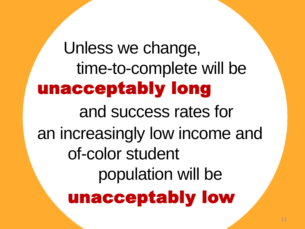Unless we change, time-to-complete will be unacceptably long and success rates for an increasingly low income and of-color student population will be unacceptably low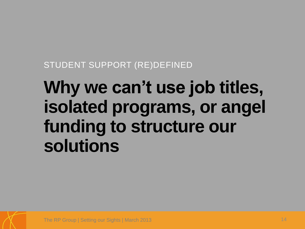STUDENT SUPPORT (RE)DEFINED

# **Why we can't use job titles, isolated programs, or angel funding to structure our solutions**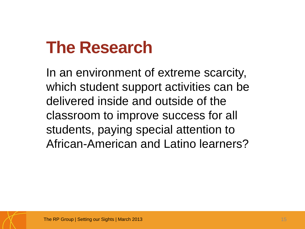# **The Research**

In an environment of extreme scarcity, which student support activities can be delivered inside and outside of the classroom to improve success for all students, paying special attention to African-American and Latino learners?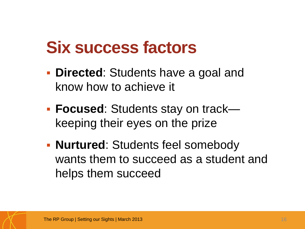## **Six success factors**

- **Directed:** Students have a goal and know how to achieve it
- **Focused**: Students stay on track keeping their eyes on the prize
- **Nurtured:** Students feel somebody wants them to succeed as a student and helps them succeed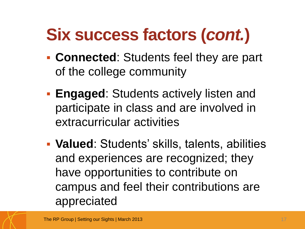# **Six success factors (***cont.***)**

- **Connected**: Students feel they are part of the college community
- **Engaged:** Students actively listen and participate in class and are involved in extracurricular activities
- **Valued**: Students' skills, talents, abilities and experiences are recognized; they have opportunities to contribute on campus and feel their contributions are appreciated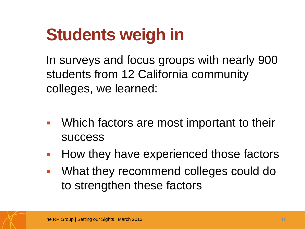# **Students weigh in**

In surveys and focus groups with nearly 900 students from 12 California community colleges, we learned:

- Which factors are most important to their success
- **How they have experienced those factors**
- **What they recommend colleges could do** to strengthen these factors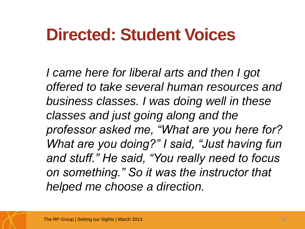# **Directed: Student Voices**

*I came here for liberal arts and then I got offered to take several human resources and business classes. I was doing well in these classes and just going along and the professor asked me, "What are you here for? What are you doing?" I said, "Just having fun and stuff." He said, "You really need to focus on something." So it was the instructor that helped me choose a direction.*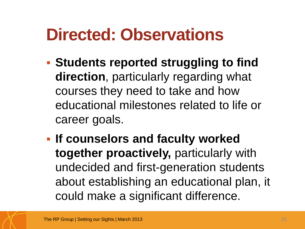# **Directed: Observations**

- **Students reported struggling to find direction**, particularly regarding what courses they need to take and how educational milestones related to life or career goals.
- **If counselors and faculty worked together proactively,** particularly with undecided and first-generation students about establishing an educational plan, it could make a significant difference.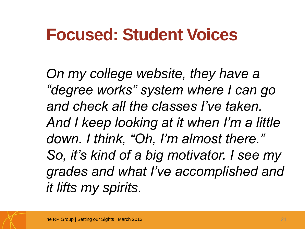## **Focused: Student Voices**

*On my college website, they have a "degree works" system where I can go and check all the classes I've taken. And I keep looking at it when I'm a little down. I think, "Oh, I'm almost there." So, it's kind of a big motivator. I see my grades and what I've accomplished and it lifts my spirits.*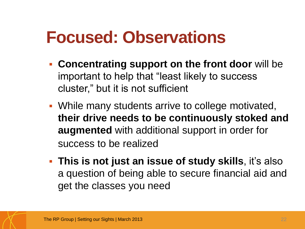## **Focused: Observations**

- **Concentrating support on the front door** will be important to help that "least likely to success cluster," but it is not sufficient
- While many students arrive to college motivated, **their drive needs to be continuously stoked and augmented** with additional support in order for success to be realized
- **This is not just an issue of study skills**, it's also a question of being able to secure financial aid and get the classes you need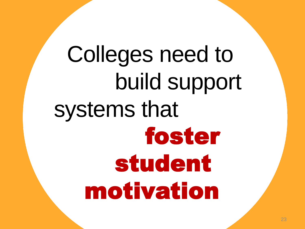Colleges need to build support systems that foster student motivation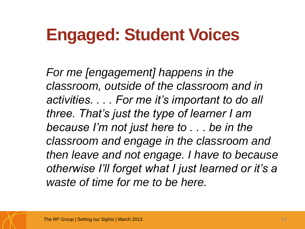# **Engaged: Student Voices**

*For me [engagement] happens in the classroom, outside of the classroom and in activities. . . . For me it's important to do all three. That's just the type of learner I am because I'm not just here to . . . be in the classroom and engage in the classroom and then leave and not engage. I have to because otherwise I'll forget what I just learned or it's a waste of time for me to be here.*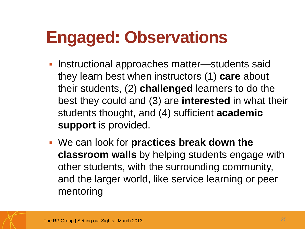# **Engaged: Observations**

- Instructional approaches matter—students said they learn best when instructors (1) **care** about their students, (2) **challenged** learners to do the best they could and (3) are **interested** in what their students thought, and (4) sufficient **academic support** is provided.
- We can look for **practices break down the classroom walls** by helping students engage with other students, with the surrounding community, and the larger world, like service learning or peer mentoring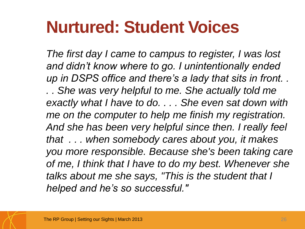# **Nurtured: Student Voices**

*The first day I came to campus to register, I was lost and didn't know where to go. I unintentionally ended up in DSPS office and there's a lady that sits in front. . . . She was very helpful to me. She actually told me exactly what I have to do. . . . She even sat down with me on the computer to help me finish my registration. And she has been very helpful since then. I really feel that . . . when somebody cares about you, it makes you more responsible. Because she's been taking care of me, I think that I have to do my best. Whenever she talks about me she says, "This is the student that I helped and he's so successful."*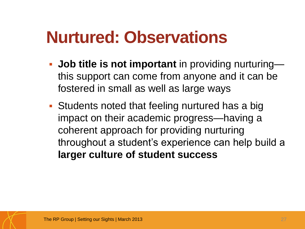# **Nurtured: Observations**

- **Job title is not important** in providing nurturing this support can come from anyone and it can be fostered in small as well as large ways
- Students noted that feeling nurtured has a big impact on their academic progress—having a coherent approach for providing nurturing throughout a student's experience can help build a **larger culture of student success**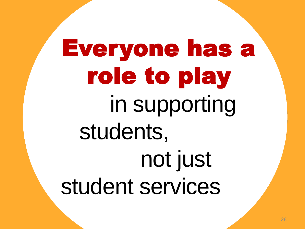# Everyone has a role to play in supporting students, not just student services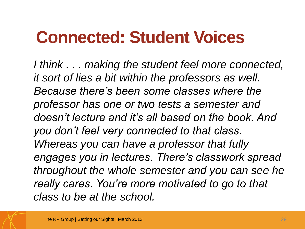# **Connected: Student Voices**

*I think . . . making the student feel more connected, it sort of lies a bit within the professors as well. Because there's been some classes where the professor has one or two tests a semester and doesn't lecture and it's all based on the book. And you don't feel very connected to that class. Whereas you can have a professor that fully engages you in lectures. There's classwork spread throughout the whole semester and you can see he really cares. You're more motivated to go to that class to be at the school.*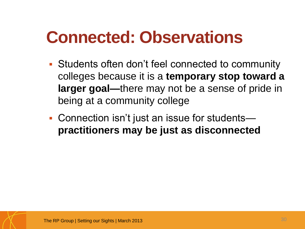# **Connected: Observations**

- Students often don't feel connected to community colleges because it is a **temporary stop toward a larger goal—**there may not be a sense of pride in being at a community college
- Connection isn't just an issue for students **practitioners may be just as disconnected**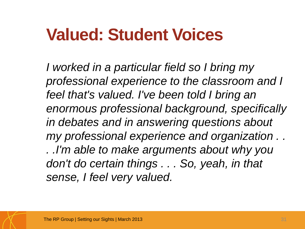# **Valued: Student Voices**

*I worked in a particular field so I bring my professional experience to the classroom and I feel that's valued. I've been told I bring an enormous professional background, specifically in debates and in answering questions about my professional experience and organization . . . .I'm able to make arguments about why you don't do certain things . . . So, yeah, in that sense, I feel very valued.*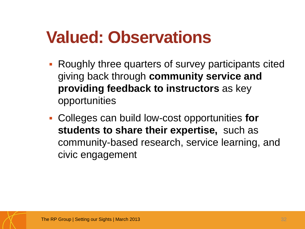# **Valued: Observations**

- Roughly three quarters of survey participants cited giving back through **community service and providing feedback to instructors** as key opportunities
- Colleges can build low-cost opportunities **for students to share their expertise,** such as community-based research, service learning, and civic engagement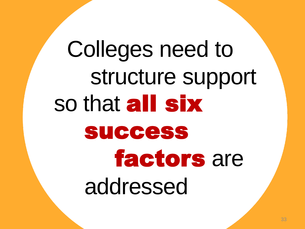# Colleges need to structure support so that all six success factors are addressed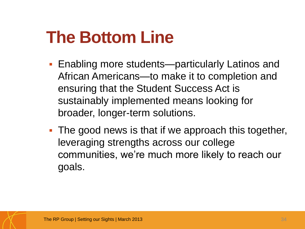# **The Bottom Line**

- Enabling more students—particularly Latinos and African Americans—to make it to completion and ensuring that the Student Success Act is sustainably implemented means looking for broader, longer-term solutions.
- **The good news is that if we approach this together,** leveraging strengths across our college communities, we're much more likely to reach our goals.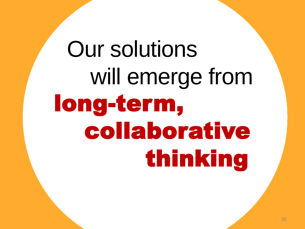# Our solutions will emerge from long-term, collaborative thinking